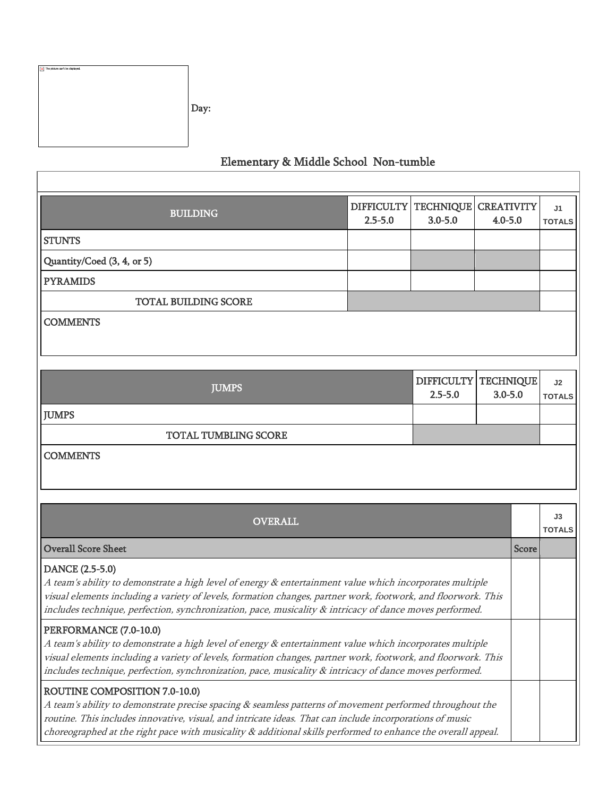| x The picture can't be displayed. | Day: |
|-----------------------------------|------|
|                                   |      |

## Elementary & Middle School Non-tumble

| <b>BUILDING</b>                                                                                                                                                                                                                                                                                                                                                       | $2.5 - 5.0$ | DIFFICULTY   TECHNIQUE<br>$3.0 - 5.0$ | <b>CREATIVITY</b><br>$4.0 - 5.0$ |              | J <sub>1</sub><br><b>TOTALS</b> |
|-----------------------------------------------------------------------------------------------------------------------------------------------------------------------------------------------------------------------------------------------------------------------------------------------------------------------------------------------------------------------|-------------|---------------------------------------|----------------------------------|--------------|---------------------------------|
| <b>STUNTS</b>                                                                                                                                                                                                                                                                                                                                                         |             |                                       |                                  |              |                                 |
| Quantity/Coed (3, 4, or 5)                                                                                                                                                                                                                                                                                                                                            |             |                                       |                                  |              |                                 |
| <b>PYRAMIDS</b>                                                                                                                                                                                                                                                                                                                                                       |             |                                       |                                  |              |                                 |
| <b>TOTAL BUILDING SCORE</b>                                                                                                                                                                                                                                                                                                                                           |             |                                       |                                  |              |                                 |
| <b>COMMENTS</b>                                                                                                                                                                                                                                                                                                                                                       |             |                                       |                                  |              |                                 |
| <b>JUMPS</b>                                                                                                                                                                                                                                                                                                                                                          |             | DIFFICULTY TECHNIQUE<br>$2.5 - 5.0$   | $3.0 - 5.0$                      |              | J2<br><b>TOTALS</b>             |
| <b>JUMPS</b>                                                                                                                                                                                                                                                                                                                                                          |             |                                       |                                  |              |                                 |
| <b>TOTAL TUMBLING SCORE</b>                                                                                                                                                                                                                                                                                                                                           |             |                                       |                                  |              |                                 |
| <b>COMMENTS</b>                                                                                                                                                                                                                                                                                                                                                       |             |                                       |                                  |              |                                 |
| <b>OVERALL</b>                                                                                                                                                                                                                                                                                                                                                        |             |                                       |                                  |              | J3<br><b>TOTALS</b>             |
| <b>Overall Score Sheet</b>                                                                                                                                                                                                                                                                                                                                            |             |                                       |                                  | <b>Score</b> |                                 |
| DANCE (2.5-5.0)<br>A team's ability to demonstrate a high level of energy & entertainment value which incorporates multiple<br>visual elements including a variety of levels, formation changes, partner work, footwork, and floorwork. This<br>includes technique, perfection, synchronization, pace, musicality & intricacy of dance moves performed.               |             |                                       |                                  |              |                                 |
| PERFORMANCE (7.0-10.0)<br>A team's ability to demonstrate a high level of energy & entertainment value which incorporates multiple<br>visual elements including a variety of levels, formation changes, partner work, footwork, and floorwork. This<br>includes technique, perfection, synchronization, pace, musicality & intricacy of dance moves performed.        |             |                                       |                                  |              |                                 |
| ROUTINE COMPOSITION 7.0-10.0)<br>A team's ability to demonstrate precise spacing & seamless patterns of movement performed throughout the<br>routine. This includes innovative, visual, and intricate ideas. That can include incorporations of music<br>choreographed at the right pace with musicality & additional skills performed to enhance the overall appeal. |             |                                       |                                  |              |                                 |